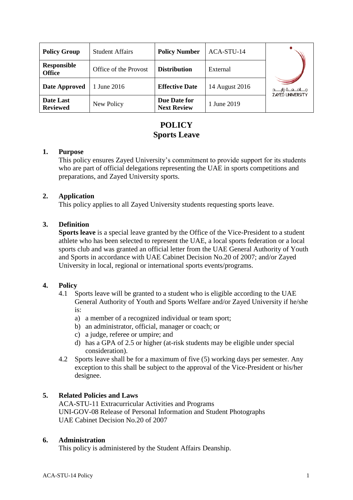| <b>Policy Group</b>          | <b>Student Affairs</b> | <b>Policy Number</b>               | ACA-STU-14     |                                                  |
|------------------------------|------------------------|------------------------------------|----------------|--------------------------------------------------|
| Responsible<br><b>Office</b> | Office of the Provost  | <b>Distribution</b>                | External       |                                                  |
| Date Approved                | 1 June 2016            | <b>Effective Date</b>              | 14 August 2016 | جـــامــعــة زايــــد<br><b>ZAYED UNIVERSITY</b> |
| Date Last<br><b>Reviewed</b> | New Policy             | Due Date for<br><b>Next Review</b> | 1 June 2019    |                                                  |

# **POLICY Sports Leave**

#### **1. Purpose**

This policy ensures Zayed University's commitment to provide support for its students who are part of official delegations representing the UAE in sports competitions and preparations, and Zayed University sports.

### **2. Application**

This policy applies to all Zayed University students requesting sports leave.

### **3. Definition**

**Sports leave** is a special leave granted by the Office of the Vice-President to a student athlete who has been selected to represent the UAE, a local sports federation or a local sports club and was granted an official letter from the UAE General Authority of Youth and Sports in accordance with UAE Cabinet Decision No.20 of 2007; and/or Zayed University in local, regional or international sports events/programs.

### **4. Policy**

- 4.1 Sports leave will be granted to a student who is eligible according to the UAE General Authority of Youth and Sports Welfare and/or Zayed University if he/she is:
	- a) a member of a recognized individual or team sport;
	- b) an administrator, official, manager or coach; or
	- c) a judge, referee or umpire; and
	- d) has a GPA of 2.5 or higher (at-risk students may be eligible under special consideration).
- 4.2 Sports leave shall be for a maximum of five (5) working days per semester. Any exception to this shall be subject to the approval of the Vice-President or his/her designee.

### **5. Related Policies and Laws**

ACA-STU-11 Extracurricular Activities and Programs UNI-GOV-08 Release of Personal Information and Student Photographs UAE Cabinet Decision No.20 of 2007

### **6. Administration**

This policy is administered by the Student Affairs Deanship.